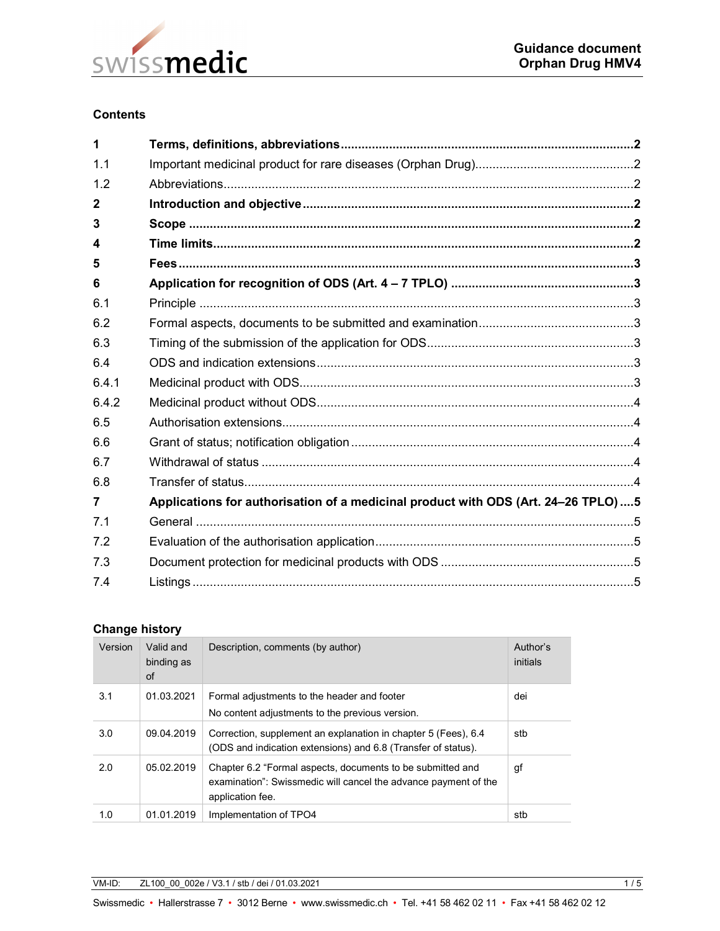

#### **Contents**

| 1              |                                                                                   |  |  |  |
|----------------|-----------------------------------------------------------------------------------|--|--|--|
| 1.1            |                                                                                   |  |  |  |
| 1.2            |                                                                                   |  |  |  |
| 2              |                                                                                   |  |  |  |
| 3              |                                                                                   |  |  |  |
| 4              |                                                                                   |  |  |  |
| 5              |                                                                                   |  |  |  |
| 6              |                                                                                   |  |  |  |
| 6.1            |                                                                                   |  |  |  |
| 6.2            |                                                                                   |  |  |  |
| 6.3            |                                                                                   |  |  |  |
| 6.4            |                                                                                   |  |  |  |
| 6.4.1          |                                                                                   |  |  |  |
| 6.4.2          |                                                                                   |  |  |  |
| 6.5            |                                                                                   |  |  |  |
| 6.6            |                                                                                   |  |  |  |
| 6.7            |                                                                                   |  |  |  |
| 6.8            |                                                                                   |  |  |  |
| $\overline{7}$ | Applications for authorisation of a medicinal product with ODS (Art. 24-26 TPLO)5 |  |  |  |
| 7.1            |                                                                                   |  |  |  |
| 7.2            |                                                                                   |  |  |  |
| 7.3            |                                                                                   |  |  |  |
| 7.4            |                                                                                   |  |  |  |

### **Change history**

| Version | Valid and<br>binding as<br>of | Description, comments (by author)                                                                                                                 | Author's<br>initials |
|---------|-------------------------------|---------------------------------------------------------------------------------------------------------------------------------------------------|----------------------|
| 3.1     | 01.03.2021                    | Formal adjustments to the header and footer<br>No content adjustments to the previous version.                                                    | dei                  |
| 3.0     | 09.04.2019                    | Correction, supplement an explanation in chapter 5 (Fees), 6.4<br>(ODS and indication extensions) and 6.8 (Transfer of status).                   | stb                  |
| 2.0     | 05.02.2019                    | Chapter 6.2 "Formal aspects, documents to be submitted and<br>examination": Swissmedic will cancel the advance payment of the<br>application fee. | gf                   |
| 1.0     | 01.01.2019                    | Implementation of TPO4                                                                                                                            | stb                  |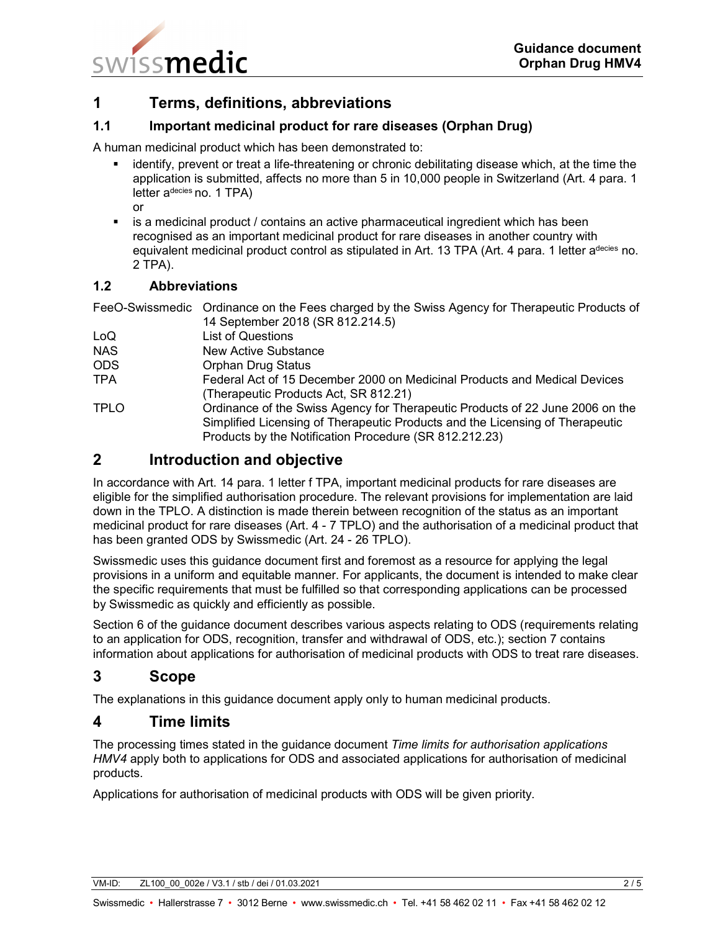

# **1 Terms, definitions, abbreviations**

## **1.1 Important medicinal product for rare diseases (Orphan Drug)**

A human medicinal product which has been demonstrated to:

- identify, prevent or treat a life-threatening or chronic debilitating disease which, at the time the application is submitted, affects no more than 5 in 10,000 people in Switzerland (Art. 4 para. 1 letter a<sup>decies</sup> no. 1 TPA) or
- **EXECT** is a medicinal product / contains an active pharmaceutical ingredient which has been recognised as an important medicinal product for rare diseases in another country with equivalent medicinal product control as stipulated in Art. 13 TPA (Art. 4 para. 1 letter adecies no. 2 TPA).

#### **1.2 Abbreviations**

FeeO-Swissmedic Ordinance on the Fees charged by the Swiss Agency for Therapeutic Products of

14 September 2018 (SR 812.214.5) LoQ List of Questions NAS New Active Substance ODS Orphan Drug Status TPA Federal Act of 15 December 2000 on Medicinal Products and Medical Devices (Therapeutic Products Act, SR 812.21) TPLO Ordinance of the Swiss Agency for Therapeutic Products of 22 June 2006 on the Simplified Licensing of Therapeutic Products and the Licensing of Therapeutic Products by the Notification Procedure (SR 812.212.23)

# **2 Introduction and objective**

In accordance with Art. 14 para. 1 letter f TPA, important medicinal products for rare diseases are eligible for the simplified authorisation procedure. The relevant provisions for implementation are laid down in the TPLO. A distinction is made therein between recognition of the status as an important medicinal product for rare diseases (Art. 4 - 7 TPLO) and the authorisation of a medicinal product that has been granted ODS by Swissmedic (Art. 24 - 26 TPLO).

Swissmedic uses this guidance document first and foremost as a resource for applying the legal provisions in a uniform and equitable manner. For applicants, the document is intended to make clear the specific requirements that must be fulfilled so that corresponding applications can be processed by Swissmedic as quickly and efficiently as possible.

Section 6 of the guidance document describes various aspects relating to ODS (requirements relating to an application for ODS, recognition, transfer and withdrawal of ODS, etc.); section 7 contains information about applications for authorisation of medicinal products with ODS to treat rare diseases.

# **3 Scope**

The explanations in this guidance document apply only to human medicinal products.

# **4 Time limits**

The processing times stated in the guidance document *Time limits for authorisation applications HMV4* apply both to applications for ODS and associated applications for authorisation of medicinal products.

Applications for authorisation of medicinal products with ODS will be given priority.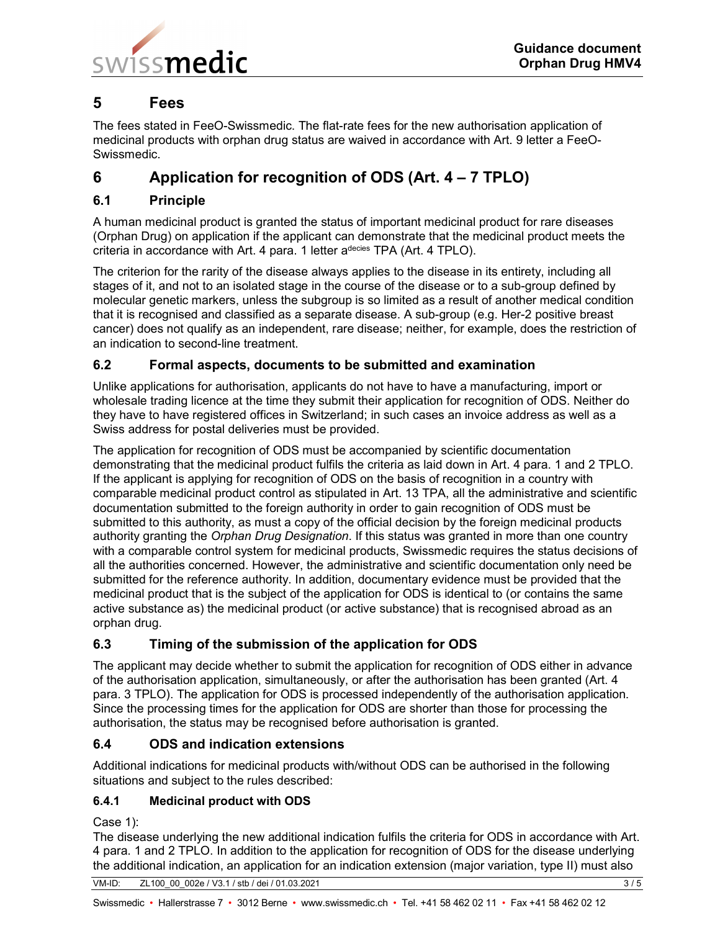

# **5 Fees**

The fees stated in FeeO-Swissmedic. The flat-rate fees for the new authorisation application of medicinal products with orphan drug status are waived in accordance with Art. 9 letter a FeeO-Swissmedic.

# **6 Application for recognition of ODS (Art. 4 – 7 TPLO)**

## **6.1 Principle**

A human medicinal product is granted the status of important medicinal product for rare diseases (Orphan Drug) on application if the applicant can demonstrate that the medicinal product meets the criteria in accordance with Art. 4 para. 1 letter adecies TPA (Art. 4 TPLO).

The criterion for the rarity of the disease always applies to the disease in its entirety, including all stages of it, and not to an isolated stage in the course of the disease or to a sub-group defined by molecular genetic markers, unless the subgroup is so limited as a result of another medical condition that it is recognised and classified as a separate disease. A sub-group (e.g. Her-2 positive breast cancer) does not qualify as an independent, rare disease; neither, for example, does the restriction of an indication to second-line treatment.

## **6.2 Formal aspects, documents to be submitted and examination**

Unlike applications for authorisation, applicants do not have to have a manufacturing, import or wholesale trading licence at the time they submit their application for recognition of ODS. Neither do they have to have registered offices in Switzerland; in such cases an invoice address as well as a Swiss address for postal deliveries must be provided.

The application for recognition of ODS must be accompanied by scientific documentation demonstrating that the medicinal product fulfils the criteria as laid down in Art. 4 para. 1 and 2 TPLO. If the applicant is applying for recognition of ODS on the basis of recognition in a country with comparable medicinal product control as stipulated in Art. 13 TPA, all the administrative and scientific documentation submitted to the foreign authority in order to gain recognition of ODS must be submitted to this authority, as must a copy of the official decision by the foreign medicinal products authority granting the *Orphan Drug Designation*. If this status was granted in more than one country with a comparable control system for medicinal products, Swissmedic requires the status decisions of all the authorities concerned. However, the administrative and scientific documentation only need be submitted for the reference authority. In addition, documentary evidence must be provided that the medicinal product that is the subject of the application for ODS is identical to (or contains the same active substance as) the medicinal product (or active substance) that is recognised abroad as an orphan drug.

# **6.3 Timing of the submission of the application for ODS**

The applicant may decide whether to submit the application for recognition of ODS either in advance of the authorisation application, simultaneously, or after the authorisation has been granted (Art. 4 para. 3 TPLO). The application for ODS is processed independently of the authorisation application. Since the processing times for the application for ODS are shorter than those for processing the authorisation, the status may be recognised before authorisation is granted.

## **6.4 ODS and indication extensions**

Additional indications for medicinal products with/without ODS can be authorised in the following situations and subject to the rules described:

## **6.4.1 Medicinal product with ODS**

Case 1):

The disease underlying the new additional indication fulfils the criteria for ODS in accordance with Art. 4 para. 1 and 2 TPLO. In addition to the application for recognition of ODS for the disease underlying the additional indication, an application for an indication extension (major variation, type II) must also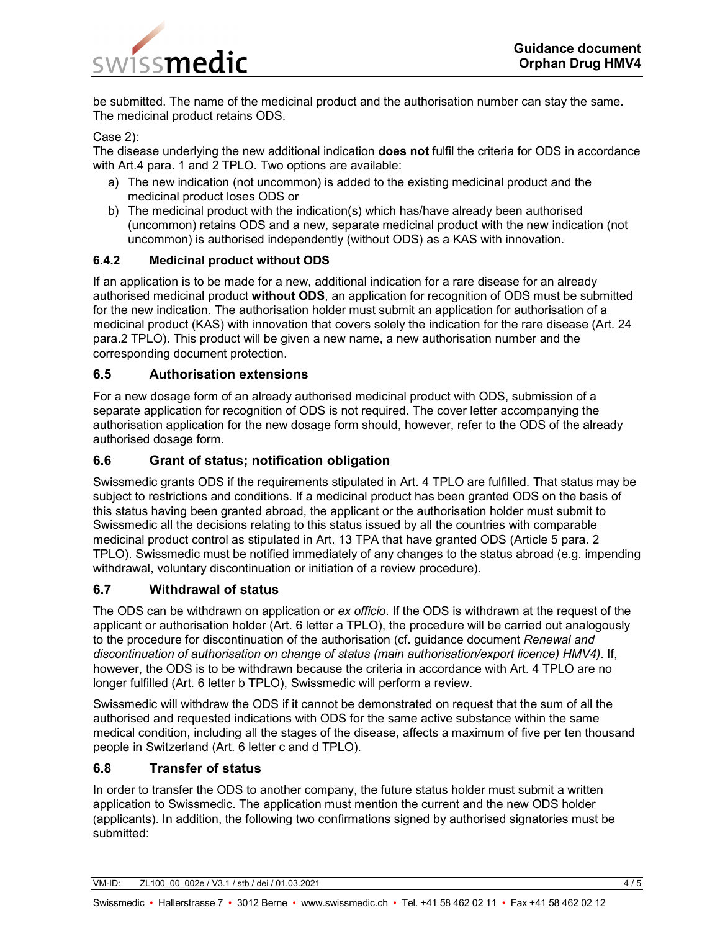

be submitted. The name of the medicinal product and the authorisation number can stay the same. The medicinal product retains ODS.

#### Case 2):

The disease underlying the new additional indication **does not** fulfil the criteria for ODS in accordance with Art.4 para. 1 and 2 TPLO. Two options are available:

- a) The new indication (not uncommon) is added to the existing medicinal product and the medicinal product loses ODS or
- b) The medicinal product with the indication(s) which has/have already been authorised (uncommon) retains ODS and a new, separate medicinal product with the new indication (not uncommon) is authorised independently (without ODS) as a KAS with innovation.

#### **6.4.2 Medicinal product without ODS**

If an application is to be made for a new, additional indication for a rare disease for an already authorised medicinal product **without ODS**, an application for recognition of ODS must be submitted for the new indication. The authorisation holder must submit an application for authorisation of a medicinal product (KAS) with innovation that covers solely the indication for the rare disease (Art. 24 para.2 TPLO). This product will be given a new name, a new authorisation number and the corresponding document protection.

#### **6.5 Authorisation extensions**

For a new dosage form of an already authorised medicinal product with ODS, submission of a separate application for recognition of ODS is not required. The cover letter accompanying the authorisation application for the new dosage form should, however, refer to the ODS of the already authorised dosage form.

#### **6.6 Grant of status; notification obligation**

Swissmedic grants ODS if the requirements stipulated in Art. 4 TPLO are fulfilled. That status may be subject to restrictions and conditions. If a medicinal product has been granted ODS on the basis of this status having been granted abroad, the applicant or the authorisation holder must submit to Swissmedic all the decisions relating to this status issued by all the countries with comparable medicinal product control as stipulated in Art. 13 TPA that have granted ODS (Article 5 para. 2 TPLO). Swissmedic must be notified immediately of any changes to the status abroad (e.g. impending withdrawal, voluntary discontinuation or initiation of a review procedure).

#### **6.7 Withdrawal of status**

The ODS can be withdrawn on application or *ex officio*. If the ODS is withdrawn at the request of the applicant or authorisation holder (Art. 6 letter a TPLO), the procedure will be carried out analogously to the procedure for discontinuation of the authorisation (cf. guidance document *Renewal and discontinuation of authorisation on change of status (main authorisation/export licence) HMV4)*. If, however, the ODS is to be withdrawn because the criteria in accordance with Art. 4 TPLO are no longer fulfilled (Art. 6 letter b TPLO), Swissmedic will perform a review.

Swissmedic will withdraw the ODS if it cannot be demonstrated on request that the sum of all the authorised and requested indications with ODS for the same active substance within the same medical condition, including all the stages of the disease, affects a maximum of five per ten thousand people in Switzerland (Art. 6 letter c and d TPLO).

#### **6.8 Transfer of status**

In order to transfer the ODS to another company, the future status holder must submit a written application to Swissmedic. The application must mention the current and the new ODS holder (applicants). In addition, the following two confirmations signed by authorised signatories must be submitted: